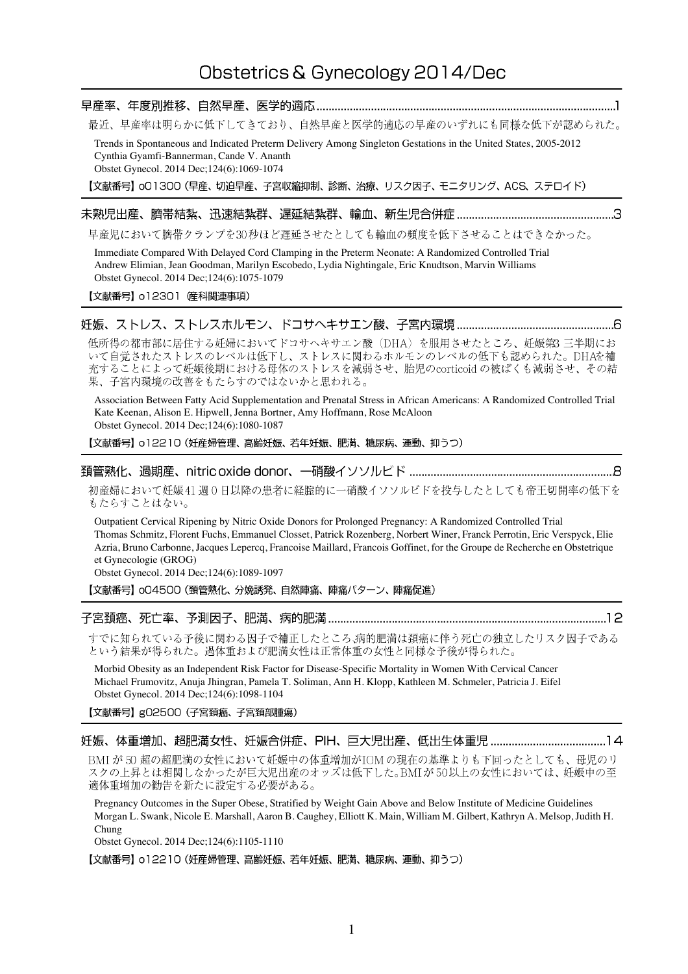# Obstetrics & Gynecology 2014/Dec

# 

最近、早産率は明らかに低下してきており、自然早産と医学的適応の早産のいずれにも同様な低下が認められた。

Trends in Spontaneous and Indicated Preterm Delivery Among Singleton Gestations in the United States, 2005-2012 Cynthia Gyamfi-Bannerman, Cande V. Ananth Obstet Gynecol. 2014 Dec;124(6):1069-1074

【文献番号】 oO1300 (早産、切迫早産、子宮収縮抑制、診断、治療、リスク因子、モニタリング、ACS、ステロイド)

## 

早産児において臍帯クランプを30秒ほど遅延させたとしても輸血の頻度を低下させることはできなかった。

Immediate Compared With Delayed Cord Clamping in the Preterm Neonate: A Randomized Controlled Trial Andrew Elimian, Jean Goodman, Marilyn Escobedo, Lydia Nightingale, Eric Knudtson, Marvin Williams Obstet Gynecol. 2014 Dec;124(6):1075-1079

【文献番号】 o12301 産科関連事項)

低所得の都市部に居住する妊婦においてドコサヘキサエン酸 (DHA) を服用させたところ、妊娠第3 三半期にお 充することによって妊娠後期における母体のストレスを減弱させ、胎児のcorticoid の被ばくも減弱させ、その結 果、子宮内環境の改善をもたらすのではないかと思われる。

Association Between Fatty Acid Supplementation and Prenatal Stress in African Americans: A Randomized Controlled Trial Kate Keenan, Alison E. Hipwell, Jenna Bortner, Amy Hoffmann, Rose McAloon Obstet Gynecol. 2014 Dec;124(6):1080-1087

【文献番号】 o12210 (妊産婦管理、高齢妊娠、若年妊娠、肥満、糖尿病、運動、抑うつ)

初産婦において妊娠41週0日以降の患者に経腟的に一硝酸イソソルビドを投与したとしても帝王切開率の低下を もたらすことはない。

Outpatient Cervical Ripening by Nitric Oxide Donors for Prolonged Pregnancy: A Randomized Controlled Trial Thomas Schmitz, Florent Fuchs, Emmanuel Closset, Patrick Rozenberg, Norbert Winer, Franck Perrotin, Eric Verspyck, Elie Azria, Bruno Carbonne, Jacques Lepercq, Francoise Maillard, Francois Goffinet, for the Groupe de Recherche en Obstetrique et Gynecologie (GROG)

Obstet Gynecol. 2014 Dec;124(6):1089-1097

【文献番号】 004500 (頚管熟化、分娩誘発、自然陣痛、陣痛パターン、陣痛促進)

すでに知られている予後に関わる因子で補正したところ、病的肥満は頚癌に伴う死亡の独立したリスク因子である という結果が得られた。過体重および肥満女性は正常体重の女性と同様な予後が得られた。

Morbid Obesity as an Independent Risk Factor for Disease-Specific Mortality in Women With Cervical Cancer Michael Frumovitz, Anuja Jhingran, Pamela T. Soliman, Ann H. Klopp, Kathleen M. Schmeler, Patricia J. Eifel Obstet Gynecol. 2014 Dec;124(6):1098-1104

【文献番号】gO2500 (子宮頚癌、子宮頚部腫瘍)

BMI が50 超の超肥満の女性において妊娠中の体重増加がIOMの現在の基準よりも下回ったとしても、母児のリ スクの上昇とは相関しなかったが巨大児出産のオッズは低下した。BMIが50以上の女性においては、妊娠中の至 適体重増加の勧告を新たに設定する必要がある。

Pregnancy Outcomes in the Super Obese, Stratified by Weight Gain Above and Below Institute of Medicine Guidelines Morgan L. Swank, Nicole E. Marshall, Aaron B. Caughey, Elliott K. Main, William M. Gilbert, Kathryn A. Melsop, Judith H. Chung

Obstet Gynecol. 2014 Dec;124(6):1105-1110

【文献番号】 o12210 (妊産婦管理、高齢妊娠、若年妊娠、肥満、糖尿病、運動、抑うつ)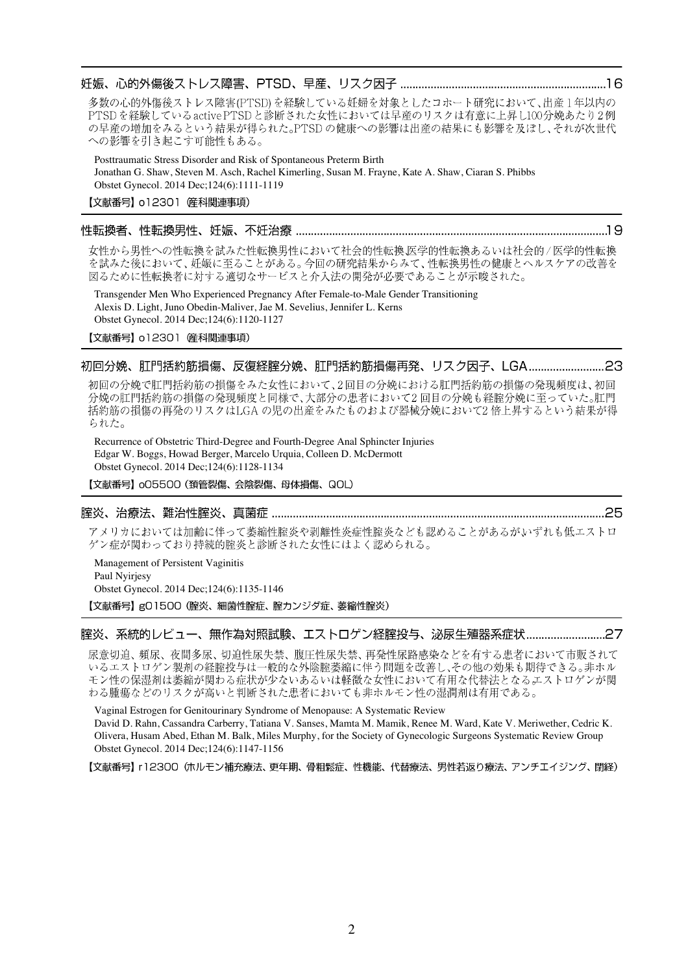## 

多数の心的外傷後ストレス障害(PTSD)を経験している妊婦を対象としたコホート研究において、出産1年以内の PTSDを経験しているactive PTSDと診断された女性においては早産のリスクは有意に上昇し100分娩あたり2例 の早産の増加をみるという結果が得られた。PTSDの健康への影響は出産の結果にも影響を及ぼし、それが次世代 への影響を引き起こす可能性もある。

Posttraumatic Stress Disorder and Risk of Spontaneous Preterm Birth Jonathan G. Shaw, Steven M. Asch, Rachel Kimerling, Susan M. Frayne, Kate A. Shaw, Ciaran S. Phibbs Obstet Gynecol. 2014 Dec;124(6):1111-1119

【文献番号】 012301 催科関連事項)

## 

女性から男性への性転換を試みた性転換男性において社会的性転換、医学的性転換あるいは社会的/医学的性転換 

Transgender Men Who Experienced Pregnancy After Female-to-Male Gender Transitioning Alexis D. Light, Juno Obedin-Maliver, Jae M. Sevelius, Jennifer L. Kerns Obstet Gynecol. 2014 Dec;124(6):1120-1127

【文献番号】 o12301 産科関連事項)

# 

初回の分娩で肛門括約筋の損傷をみた女性において、2回目の分娩における肛門括約筋の損傷の発現頻度は、初回 分娩の肛門括約筋の損傷の発現頻度と同様で、大部分の患者において2回目の分娩も経腟分娩に至っていた。肛門 括約筋の損傷の再発のリスクはLGA の児の出産をみたものおよび器械分娩において2倍上昇するという結果が得 られた。

Recurrence of Obstetric Third-Degree and Fourth-Degree Anal Sphincter Injuries Edgar W. Boggs, Howad Berger, Marcelo Urquia, Colleen D. McDermott Obstet Gynecol. 2014 Dec;124(6):1128-1134

【文献番号】 oO5500 (頚管裂傷、会陰裂傷、母体損傷、QOL)

## 

アメリカにおいては加齢に伴って萎縮性腟炎や剥離性炎症性腟炎なども認めることがあるがいずれも低エストロ ゲン症が関わっており持続的腟炎と診断された女性にはよく認められる。

Management of Persistent Vaginitis Paul Nyirjesy Obstet Gynecol. 2014 Dec;124(6):1135-1146

【文献番号】g01500 (腟炎、細菌性腟症、腟カンジダ症、萎縮性腟炎)

#### 腟炎、系統的レビュー、無作為対照試験、エストロゲン経腟投与、泌尿生殖器系症状..................................?

尿意切迫、頻尿、夜間多尿、切迫性尿失禁、腹圧性尿失禁、再発性尿路感染などを有する患者において市販されて いるエストロゲン製剤の経腟投与は一般的な外陰腟萎縮に伴う問題を改善し、その他の効果も期待できる。非ホル モン性の保湿剤は萎縮が関わる症状が少ないあるいは軽微な女性において有用な代替法となるエストロゲンが関 わる腫瘍などのリスクが高いと判断された患者においても非ホルモン性の湿潤剤は有用である。

Vaginal Estrogen for Genitourinary Syndrome of Menopause: A Systematic Review

David D. Rahn, Cassandra Carberry, Tatiana V. Sanses, Mamta M. Mamik, Renee M. Ward, Kate V. Meriwether, Cedric K. Olivera, Husam Abed, Ethan M. Balk, Miles Murphy, for the Society of Gynecologic Surgeons Systematic Review Group Obstet Gynecol. 2014 Dec;124(6):1147-1156

【文献番号】 r12300 (ホルモン補充療法、更年期、骨粗鬆症、性機能、代替療法、男性若返り療法、アンチエイジング、閉経)